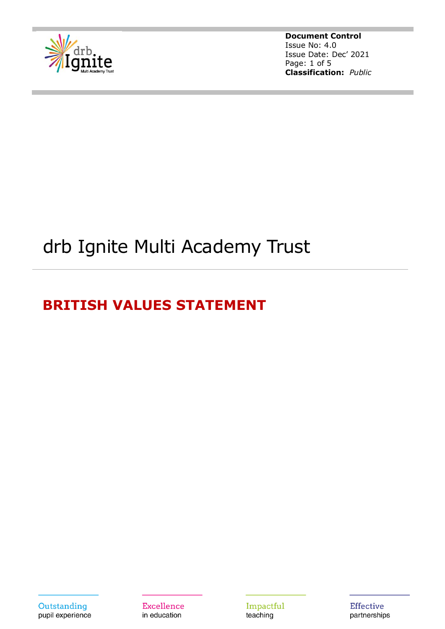

**Document Control** Issue No: 4.0 Issue Date: Dec' 2021 Page: 1 of 5 **Classification:** *Public*

# drb Ignite Multi Academy Trust

## **BRITISH VALUES STATEMENT**

Outstanding pupil experience

**Excellence** in education

Impactful teaching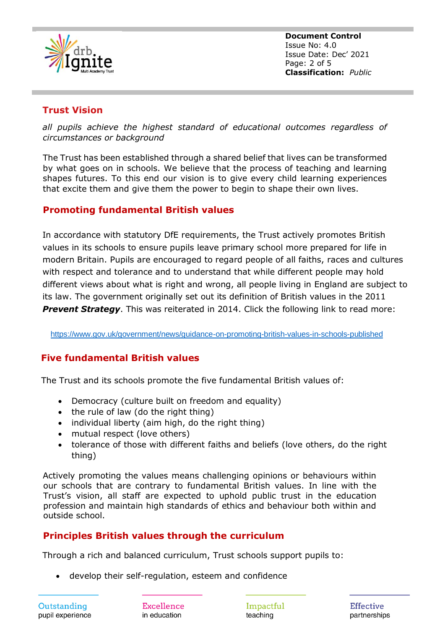

**Document Control** Issue No: 4.0 Issue Date: Dec' 2021 Page: 2 of 5 **Classification:** *Public*

#### **Trust Vision**

*all pupils achieve the highest standard of educational outcomes regardless of circumstances or background*

The Trust has been established through a shared belief that lives can be transformed by what goes on in schools. We believe that the process of teaching and learning shapes futures. To this end our vision is to give every child learning experiences that excite them and give them the power to begin to shape their own lives.

#### **Promoting fundamental British values**

In accordance with statutory DfE requirements, the Trust actively promotes British values in its schools to ensure pupils leave primary school more prepared for life in modern Britain. Pupils are encouraged to regard people of all faiths, races and cultures with respect and tolerance and to understand that while different people may hold different views about what is right and wrong, all people living in England are subject to its law. The government originally set out its definition of British values in the 2011 **Prevent Strategy**. This was reiterated in 2014. Click the following link to read more:

<https://www.gov.uk/government/news/guidance-on-promoting-british-values-in-schools-published>

#### **Five fundamental British values**

The Trust and its schools promote the five fundamental British values of:

- Democracy (culture built on freedom and equality)
- the rule of law (do the right thing)
- individual liberty (aim high, do the right thing)
- mutual respect (love others)
- tolerance of those with different faiths and beliefs (love others, do the right thing)

Actively promoting the values means challenging opinions or behaviours within our schools that are contrary to fundamental British values. In line with the Trust's vision, all staff are expected to uphold public trust in the education profession and maintain high standards of ethics and behaviour both within and outside school.

#### **Principles British values through the curriculum**

Through a rich and balanced curriculum, Trust schools support pupils to:

• develop their self-regulation, esteem and confidence

Outstanding pupil experience

Excellence in education

Impactful teaching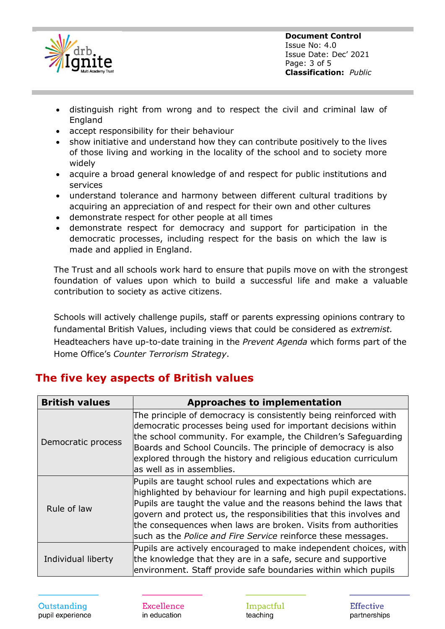

- distinguish right from wrong and to respect the civil and criminal law of England
- accept responsibility for their behaviour
- show initiative and understand how they can contribute positively to the lives of those living and working in the locality of the school and to society more widely
- acquire a broad general knowledge of and respect for public institutions and services
- understand tolerance and harmony between different cultural traditions by acquiring an appreciation of and respect for their own and other cultures
- demonstrate respect for other people at all times
- demonstrate respect for democracy and support for participation in the democratic processes, including respect for the basis on which the law is made and applied in England.

The Trust and all schools work hard to ensure that pupils move on with the strongest foundation of values upon which to build a successful life and make a valuable contribution to society as active citizens.

Schools will actively challenge pupils, staff or parents expressing opinions contrary to fundamental British Values, including views that could be considered as *extremist.* Headteachers have up-to-date training in the *Prevent Agenda* which forms part of the Home Office's *Counter Terrorism Strategy*.

## **The five key aspects of British values**

| <b>British values</b> | <b>Approaches to implementation</b>                                                                                                                                                                                                                                                                                                                                                                          |
|-----------------------|--------------------------------------------------------------------------------------------------------------------------------------------------------------------------------------------------------------------------------------------------------------------------------------------------------------------------------------------------------------------------------------------------------------|
| Democratic process    | The principle of democracy is consistently being reinforced with<br>democratic processes being used for important decisions within<br>the school community. For example, the Children's Safeguarding<br>Boards and School Councils. The principle of democracy is also<br>explored through the history and religious education curriculum<br>las well as in assemblies.                                      |
| Rule of law           | Pupils are taught school rules and expectations which are<br>highlighted by behaviour for learning and high pupil expectations.<br>Pupils are taught the value and the reasons behind the laws that<br>govern and protect us, the responsibilities that this involves and<br>the consequences when laws are broken. Visits from authorities<br>such as the Police and Fire Service reinforce these messages. |
| Individual liberty    | Pupils are actively encouraged to make independent choices, with<br>the knowledge that they are in a safe, secure and supportive<br>environment. Staff provide safe boundaries within which pupils                                                                                                                                                                                                           |

Outstanding pupil experience

Excellence in education

Impactful teaching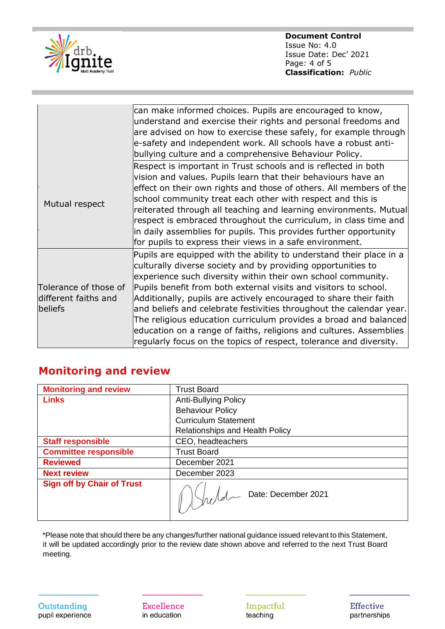

**Document Control** Issue No: 4.0 Issue Date: Dec' 2021 Page: 4 of 5 **Classification:** *Public*

|                                                          | can make informed choices. Pupils are encouraged to know,<br>understand and exercise their rights and personal freedoms and<br>are advised on how to exercise these safely, for example through<br>e-safety and independent work. All schools have a robust anti-<br>bullying culture and a comprehensive Behaviour Policy.                                                                                                                                                                                                                                                                                                         |
|----------------------------------------------------------|-------------------------------------------------------------------------------------------------------------------------------------------------------------------------------------------------------------------------------------------------------------------------------------------------------------------------------------------------------------------------------------------------------------------------------------------------------------------------------------------------------------------------------------------------------------------------------------------------------------------------------------|
| Mutual respect                                           | Respect is important in Trust schools and is reflected in both<br>vision and values. Pupils learn that their behaviours have an<br>effect on their own rights and those of others. All members of the<br>school community treat each other with respect and this is<br>reiterated through all teaching and learning environments. Mutual<br>respect is embraced throughout the curriculum, in class time and<br>in daily assemblies for pupils. This provides further opportunity<br>for pupils to express their views in a safe environment.                                                                                       |
| Tolerance of those of<br>different faiths and<br>beliefs | Pupils are equipped with the ability to understand their place in a<br>culturally diverse society and by providing opportunities to<br>experience such diversity within their own school community.<br>Pupils benefit from both external visits and visitors to school.<br>Additionally, pupils are actively encouraged to share their faith<br>and beliefs and celebrate festivities throughout the calendar year.<br>The religious education curriculum provides a broad and balanced<br>education on a range of faiths, religions and cultures. Assemblies<br>regularly focus on the topics of respect, tolerance and diversity. |

## **Monitoring and review**

| <b>Monitoring and review</b>      | <b>Trust Board</b>              |
|-----------------------------------|---------------------------------|
| <b>Links</b>                      | <b>Anti-Bullying Policy</b>     |
|                                   | <b>Behaviour Policy</b>         |
|                                   | <b>Curriculum Statement</b>     |
|                                   | Relationships and Health Policy |
| <b>Staff responsible</b>          | CEO, headteachers               |
| <b>Committee responsible</b>      | <b>Trust Board</b>              |
| <b>Reviewed</b>                   | December 2021                   |
| <b>Next review</b>                | December 2023                   |
| <b>Sign off by Chair of Trust</b> | Muld Date: December 2021        |

\*Please note that should there be any changes/further national guidance issued relevant to this Statement, it will be updated accordingly prior to the review date shown above and referred to the next Trust Board meeting.

**Excellence** in education

Impactful teaching